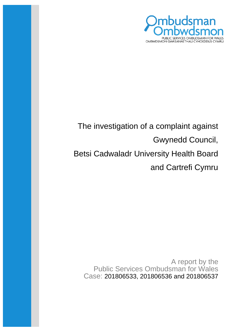

# The investigation of a complaint against Gwynedd Council, Betsi Cadwaladr University Health Board and Cartrefi Cymru

A report by the Public Services Ombudsman for Wales Case: 201806533, 201806536 and 201806537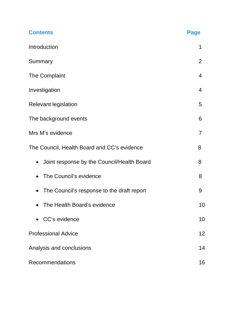| <b>Contents</b>                             | <b>Page</b>    |
|---------------------------------------------|----------------|
| Introduction                                | 1              |
| Summary                                     | 2              |
| The Complaint                               | 4              |
| Investigation                               | 4              |
| <b>Relevant legislation</b>                 | 5              |
| The background events                       | 6              |
| Mrs M's evidence                            | $\overline{7}$ |
| The Council, Health Board and CC's evidence | 8              |
| Joint response by the Council/Health Board  | 8              |
| The Council's evidence                      | 8              |
| The Council's response to the draft report  | 9              |
| The Health Board's evidence                 | 10             |
| CC's evidence                               | 10             |
| <b>Professional Advice</b>                  | 12             |
| Analysis and conclusions                    | 14             |
| Recommendations                             | 16             |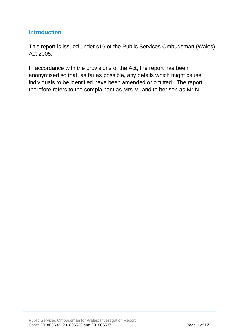### **Introduction**

This report is issued under s16 of the Public Services Ombudsman (Wales) Act 2005.

In accordance with the provisions of the Act, the report has been anonymised so that, as far as possible, any details which might cause individuals to be identified have been amended or omitted. The report therefore refers to the complainant as Mrs M, and to her son as Mr N.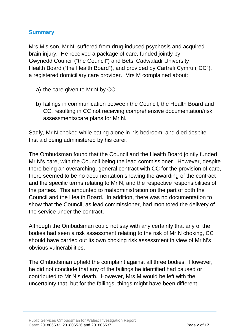## **Summary**

Mrs M's son, Mr N, suffered from drug-induced psychosis and acquired brain injury. He received a package of care, funded jointly by Gwynedd Council ("the Council") and Betsi Cadwaladr University Health Board ("the Health Board"), and provided by Cartrefi Cymru ("CC"), a registered domiciliary care provider. Mrs M complained about:

- a) the care given to Mr N by CC
- b) failings in communication between the Council, the Health Board and CC, resulting in CC not receiving comprehensive documentation/risk assessments/care plans for Mr N.

Sadly, Mr N choked while eating alone in his bedroom, and died despite first aid being administered by his carer.

The Ombudsman found that the Council and the Health Board jointly funded Mr N's care, with the Council being the lead commissioner. However, despite there being an overarching, general contract with CC for the provision of care, there seemed to be no documentation showing the awarding of the contract and the specific terms relating to Mr N, and the respective responsibilities of the parties. This amounted to maladministration on the part of both the Council and the Health Board. In addition, there was no documentation to show that the Council, as lead commissioner, had monitored the delivery of the service under the contract.

Although the Ombudsman could not say with any certainty that any of the bodies had seen a risk assessment relating to the risk of Mr N choking, CC should have carried out its own choking risk assessment in view of Mr N's obvious vulnerabilities.

The Ombudsman upheld the complaint against all three bodies. However, he did not conclude that any of the failings he identified had caused or contributed to Mr N's death. However, Mrs M would be left with the uncertainty that, but for the failings, things might have been different.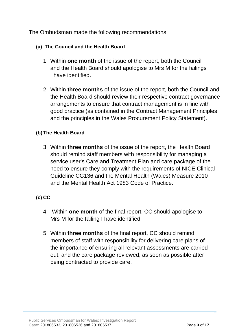The Ombudsman made the following recommendations:

#### **(a) The Council and the Health Board**

- 1. Within **one month** of the issue of the report, both the Council and the Health Board should apologise to Mrs M for the failings I have identified.
- 2. Within **three months** of the issue of the report, both the Council and the Health Board should review their respective contract governance arrangements to ensure that contract management is in line with good practice (as contained in the Contract Management Principles and the principles in the Wales Procurement Policy Statement).

#### **(b) The Health Board**

3. Within **three months** of the issue of the report, the Health Board should remind staff members with responsibility for managing a service user's Care and Treatment Plan and care package of the need to ensure they comply with the requirements of NICE Clinical Guideline CG136 and the Mental Health (Wales) Measure 2010 and the Mental Health Act 1983 Code of Practice.

## **(c) CC**

- 4. Within **one month** of the final report, CC should apologise to Mrs M for the failing I have identified.
- 5. Within **three months** of the final report, CC should remind members of staff with responsibility for delivering care plans of the importance of ensuring all relevant assessments are carried out, and the care package reviewed, as soon as possible after being contracted to provide care.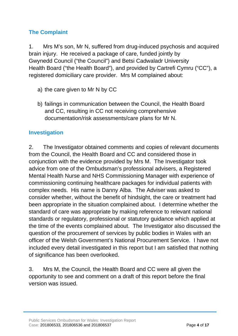# **The Complaint**

1. Mrs M's son, Mr N, suffered from drug-induced psychosis and acquired brain injury. He received a package of care, funded jointly by Gwynedd Council ("the Council") and Betsi Cadwaladr University Health Board ("the Health Board"), and provided by Cartrefi Cymru ("CC"), a registered domiciliary care provider. Mrs M complained about:

- a) the care given to Mr N by CC
- b) failings in communication between the Council, the Health Board and CC, resulting in CC not receiving comprehensive documentation/risk assessments/care plans for Mr N.

## **Investigation**

2. The Investigator obtained comments and copies of relevant documents from the Council, the Health Board and CC and considered those in conjunction with the evidence provided by Mrs M. The Investigator took advice from one of the Ombudsman's professional advisers, a Registered Mental Health Nurse and NHS Commissioning Manager with experience of commissioning continuing healthcare packages for individual patients with complex needs. His name is Danny Alba. The Adviser was asked to consider whether, without the benefit of hindsight, the care or treatment had been appropriate in the situation complained about. I determine whether the standard of care was appropriate by making reference to relevant national standards or regulatory, professional or statutory guidance which applied at the time of the events complained about. The Investigator also discussed the question of the procurement of services by public bodies in Wales with an officer of the Welsh Government's National Procurement Service. I have not included every detail investigated in this report but I am satisfied that nothing of significance has been overlooked.

3. Mrs M, the Council, the Health Board and CC were all given the opportunity to see and comment on a draft of this report before the final version was issued.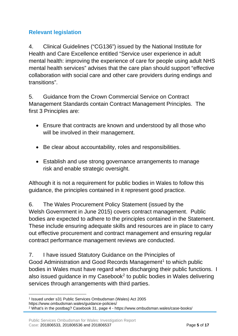# **Relevant legislation**

4. Clinical Guidelines ("CG136") issued by the National Institute for Health and Care Excellence entitled "Service user experience in adult mental health: improving the experience of care for people using adult NHS mental health services" advises that the care plan should support "effective collaboration with social care and other care providers during endings and transitions".

5. Guidance from the Crown Commercial Service on Contract Management Standards contain Contract Management Principles. The first 3 Principles are:

- Ensure that contracts are known and understood by all those who will be involved in their management.
- Be clear about accountability, roles and responsibilities.
- Establish and use strong governance arrangements to manage risk and enable strategic oversight.

Although it is not a requirement for public bodies in Wales to follow this guidance, the principles contained in it represent good practice.

6. The Wales Procurement Policy Statement (issued by the Welsh Government in June 2015) covers contract management. Public bodies are expected to adhere to the principles contained in the Statement. These include ensuring adequate skills and resources are in place to carry out effective procurement and contract management and ensuring regular contract performance management reviews are conducted.

7. I have issued Statutory Guidance on the Principles of Good Administration and Good Records Management<sup>[1](#page-6-0)</sup> to which public bodies in Wales must have regard when discharging their public functions. I also issued guidance in my Casebook<sup>[2](#page-6-1)</sup> to public bodies in Wales delivering services through arrangements with third parties.

<span id="page-6-0"></span><sup>1</sup> Issued under s31 Public Services Ombudsman (Wales) Act 2005 https://www.ombudsman.wales/guidance-policies/

<span id="page-6-1"></span><sup>2</sup> What's in the postbag? Casebook 31, page 4 - https://www.ombudsman.wales/case-books/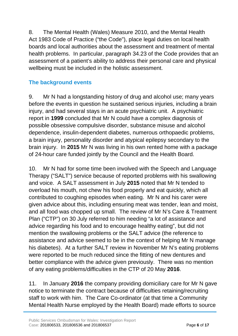8. The Mental Health (Wales) Measure 2010, and the Mental Health Act 1983 Code of Practice ("the Code"), place legal duties on local health boards and local authorities about the assessment and treatment of mental health problems. In particular, paragraph 34.23 of the Code provides that an assessment of a patient's ability to address their personal care and physical wellbeing must be included in the holistic assessment.

# **The background events**

9. Mr N had a longstanding history of drug and alcohol use; many years before the events in question he sustained serious injuries, including a brain injury, and had several stays in an acute psychiatric unit. A psychiatric report in **1999** concluded that Mr N could have a complex diagnosis of possible obsessive compulsive disorder, substance misuse and alcohol dependence, insulin-dependent diabetes, numerous orthopaedic problems, a brain injury, personality disorder and atypical epilepsy secondary to the brain injury. In **2015** Mr N was living in his own rented home with a package of 24-hour care funded jointly by the Council and the Health Board.

10. Mr N had for some time been involved with the Speech and Language Therapy ("SALT") service because of reported problems with his swallowing and voice. A SALT assessment in July **2015** noted that Mr N tended to overload his mouth, not chew his food properly and eat quickly, which all contributed to coughing episodes when eating. Mr N and his carer were given advice about this, including ensuring meat was tender, lean and moist, and all food was chopped up small. The review of Mr N's Care & Treatment Plan ("CTP") on 30 July referred to him needing "a lot of assistance and advice regarding his food and to encourage healthy eating", but did not mention the swallowing problems or the SALT advice (the reference to assistance and advice seemed to be in the context of helping Mr N manage his diabetes). At a further SALT review in November Mr N's eating problems were reported to be much reduced since the fitting of new dentures and better compliance with the advice given previously. There was no mention of any eating problems/difficulties in the CTP of 20 May **2016**.

11. In January **2016** the company providing domiciliary care for Mr N gave notice to terminate the contract because of difficulties retaining/recruiting staff to work with him. The Care Co-ordinator (at that time a Community Mental Health Nurse employed by the Health Board) made efforts to source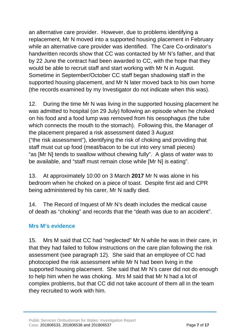an alternative care provider. However, due to problems identifying a replacement, Mr N moved into a supported housing placement in February while an alternative care provider was identified. The Care Co-ordinator's handwritten records show that CC was contacted by Mr N's father, and that by 22 June the contract had been awarded to CC, with the hope that they would be able to recruit staff and start working with Mr N in August. Sometime in September/October CC staff began shadowing staff in the supported housing placement, and Mr N later moved back to his own home (the records examined by my Investigator do not indicate when this was).

12. During the time Mr N was living in the supported housing placement he was admitted to hospital (on 29 July) following an episode when he choked on his food and a food lump was removed from his oesophagus (the tube which connects the mouth to the stomach). Following this, the Manager of the placement prepared a risk assessment dated 3 August ("the risk assessment"), identifying the risk of choking and providing that staff must cut up food (meat/bacon to be cut into very small pieces) "as [Mr N] tends to swallow without chewing fully". A glass of water was to be available, and "staff must remain close while [Mr N] is eating".

13. At approximately 10:00 on 3 March **2017** Mr N was alone in his bedroom when he choked on a piece of toast. Despite first aid and CPR being administered by his carer, Mr N sadly died.

14. The Record of Inquest of Mr N's death includes the medical cause of death as "choking" and records that the "death was due to an accident".

## **Mrs M's evidence**

15. Mrs M said that CC had "neglected" Mr N while he was in their care, in that they had failed to follow instructions on the care plan following the risk assessment (see paragraph 12). She said that an employee of CC had photocopied the risk assessment while Mr N had been living in the supported housing placement. She said that Mr N's carer did not do enough to help him when he was choking. Mrs M said that Mr N had a lot of complex problems, but that CC did not take account of them all in the team they recruited to work with him.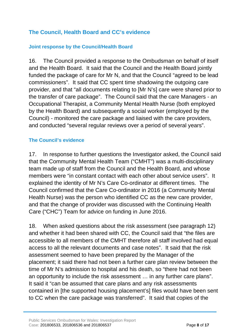## **The Council, Health Board and CC's evidence**

#### **Joint response by the Council/Health Board**

16. The Council provided a response to the Ombudsman on behalf of itself and the Health Board. It said that the Council and the Health Board jointly funded the package of care for Mr N, and that the Council "agreed to be lead commissioners". It said that CC spent time shadowing the outgoing care provider, and that "all documents relating to [Mr N's] care were shared prior to the transfer of care package". The Council said that the care Managers - an Occupational Therapist, a Community Mental Health Nurse (both employed by the Health Board) and subsequently a social worker (employed by the Council) - monitored the care package and liaised with the care providers, and conducted "several regular reviews over a period of several years".

#### **The Council's evidence**

17. In response to further questions the Investigator asked, the Council said that the Community Mental Health Team ("CMHT") was a multi-disciplinary team made up of staff from the Council and the Health Board, and whose members were "in constant contact with each other about service users". It explained the identity of Mr N's Care Co-ordinator at different times. The Council confirmed that the Care Co-ordinator in 2016 (a Community Mental Health Nurse) was the person who identified CC as the new care provider, and that the change of provider was discussed with the Continuing Health Care ("CHC") Team for advice on funding in June 2016.

18. When asked questions about the risk assessment (see paragraph 12) and whether it had been shared with CC, the Council said that "the files are accessible to all members of the CMHT therefore all staff involved had equal access to all the relevant documents and case notes". It said that the risk assessment seemed to have been prepared by the Manager of the placement; it said there had not been a further care plan review between the time of Mr N's admission to hospital and his death, so "there had not been an opportunity to include the risk assessment … in any further care plans". It said it "can be assumed that care plans and any risk assessments contained in [the supported housing placement's] files would have been sent to CC when the care package was transferred". It said that copies of the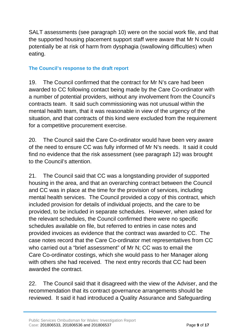SALT assessments (see paragraph 10) were on the social work file, and that the supported housing placement support staff were aware that Mr N could potentially be at risk of harm from dysphagia (swallowing difficulties) when eating.

#### **The Council's response to the draft report**

19. The Council confirmed that the contract for Mr N's care had been awarded to CC following contact being made by the Care Co-ordinator with a number of potential providers, without any involvement from the Council's contracts team. It said such commissioning was not unusual within the mental health team, that it was reasonable in view of the urgency of the situation, and that contracts of this kind were excluded from the requirement for a competitive procurement exercise.

20. The Council said the Care Co-ordinator would have been very aware of the need to ensure CC was fully informed of Mr N's needs. It said it could find no evidence that the risk assessment (see paragraph 12) was brought to the Council's attention.

21. The Council said that CC was a longstanding provider of supported housing in the area, and that an overarching contract between the Council and CC was in place at the time for the provision of services, including mental health services. The Council provided a copy of this contract, which included provision for details of individual projects, and the care to be provided, to be included in separate schedules. However, when asked for the relevant schedules, the Council confirmed there were no specific schedules available on file, but referred to entries in case notes and provided invoices as evidence that the contract was awarded to CC. The case notes record that the Care Co-ordinator met representatives from CC who carried out a "brief assessment" of Mr N; CC was to email the Care Co-ordinator costings, which she would pass to her Manager along with others she had received. The next entry records that CC had been awarded the contract.

22. The Council said that it disagreed with the view of the Adviser, and the recommendation that its contract governance arrangements should be reviewed. It said it had introduced a Quality Assurance and Safeguarding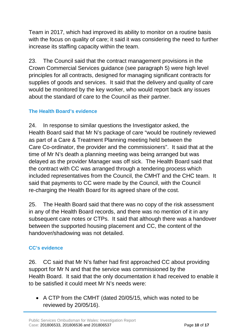Team in 2017, which had improved its ability to monitor on a routine basis with the focus on quality of care; it said it was considering the need to further increase its staffing capacity within the team.

23. The Council said that the contract management provisions in the Crown Commercial Services guidance (see paragraph 5) were high level principles for all contracts, designed for managing significant contracts for supplies of goods and services. It said that the delivery and quality of care would be monitored by the key worker, who would report back any issues about the standard of care to the Council as their partner.

#### **The Health Board's evidence**

24. In response to similar questions the Investigator asked, the Health Board said that Mr N's package of care "would be routinely reviewed as part of a Care & Treatment Planning meeting held between the Care Co-ordinator, the provider and the commissioners". It said that at the time of Mr N's death a planning meeting was being arranged but was delayed as the provider Manager was off sick. The Health Board said that the contract with CC was arranged through a tendering process which included representatives from the Council, the CMHT and the CHC team. It said that payments to CC were made by the Council, with the Council re-charging the Health Board for its agreed share of the cost.

25. The Health Board said that there was no copy of the risk assessment in any of the Health Board records, and there was no mention of it in any subsequent care notes or CTPs. It said that although there was a handover between the supported housing placement and CC, the content of the handover/shadowing was not detailed.

#### **CC's evidence**

26. CC said that Mr N's father had first approached CC about providing support for Mr N and that the service was commissioned by the Health Board. It said that the only documentation it had received to enable it to be satisfied it could meet Mr N's needs were:

• A CTP from the CMHT (dated 20/05/15, which was noted to be reviewed by 20/05/16).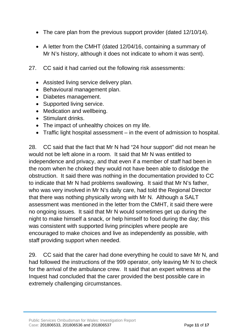- The care plan from the previous support provider (dated 12/10/14).
- A letter from the CMHT (dated 12/04/16, containing a summary of Mr N's history, although it does not indicate to whom it was sent).
- 27. CC said it had carried out the following risk assessments:
	- Assisted living service delivery plan.
	- Behavioural management plan.
	- Diabetes management.
	- Supported living service.
	- Medication and wellbeing.
	- Stimulant drinks.
	- The impact of unhealthy choices on my life.
	- Traffic light hospital assessment in the event of admission to hospital.

28. CC said that the fact that Mr N had "24 hour support" did not mean he would not be left alone in a room. It said that Mr N was entitled to independence and privacy, and that even if a member of staff had been in the room when he choked they would not have been able to dislodge the obstruction. It said there was nothing in the documentation provided to CC to indicate that Mr N had problems swallowing. It said that Mr N's father, who was very involved in Mr N's daily care, had told the Regional Director that there was nothing physically wrong with Mr N. Although a SALT assessment was mentioned in the letter from the CMHT, it said there were no ongoing issues. It said that Mr N would sometimes get up during the night to make himself a snack, or help himself to food during the day; this was consistent with supported living principles where people are encouraged to make choices and live as independently as possible, with staff providing support when needed.

29. CC said that the carer had done everything he could to save Mr N, and had followed the instructions of the 999 operator, only leaving Mr N to check for the arrival of the ambulance crew. It said that an expert witness at the Inquest had concluded that the carer provided the best possible care in extremely challenging circumstances.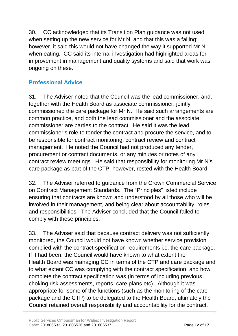30. CC acknowledged that its Transition Plan guidance was not used when setting up the new service for Mr N, and that this was a failing; however, it said this would not have changed the way it supported Mr N when eating. CC said its internal investigation had highlighted areas for improvement in management and quality systems and said that work was ongoing on these.

## **Professional Advice**

31. The Adviser noted that the Council was the lead commissioner, and, together with the Health Board as associate commissioner, jointly commissioned the care package for Mr N. He said such arrangements are common practice, and both the lead commissioner and the associate commissioner are parties to the contract. He said it was the lead commissioner's role to tender the contract and procure the service, and to be responsible for contract monitoring, contract review and contract management. He noted the Council had not produced any tender, procurement or contract documents, or any minutes or notes of any contract review meetings. He said that responsibility for monitoring Mr N's care package as part of the CTP, however, rested with the Health Board.

32. The Adviser referred to guidance from the Crown Commercial Service on Contract Management Standards. The "Principles" listed include ensuring that contracts are known and understood by all those who will be involved in their management, and being clear about accountability, roles and responsibilities. The Adviser concluded that the Council failed to comply with these principles.

33. The Adviser said that because contract delivery was not sufficiently monitored, the Council would not have known whether service provision complied with the contract specification requirements i.e. the care package. If it had been, the Council would have known to what extent the Health Board was managing CC in terms of the CTP and care package and to what extent CC was complying with the contract specification, and how complete the contract specification was (in terms of including previous choking risk assessments, reports, care plans etc). Although it was appropriate for some of the functions (such as the monitoring of the care package and the CTP) to be delegated to the Health Board, ultimately the Council retained overall responsibility and accountability for the contract.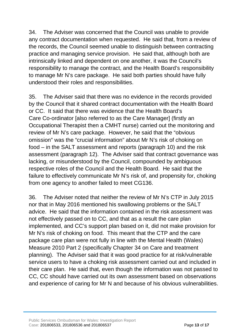34. The Adviser was concerned that the Council was unable to provide any contract documentation when requested. He said that, from a review of the records, the Council seemed unable to distinguish between contracting practice and managing service provision. He said that, although both are intrinsically linked and dependent on one another, it was the Council's responsibility to manage the contract, and the Health Board's responsibility to manage Mr N's care package. He said both parties should have fully understood their roles and responsibilities.

35. The Adviser said that there was no evidence in the records provided by the Council that it shared contract documentation with the Health Board or CC. It said that there was evidence that the Health Board's Care Co-ordinator [also referred to as the Care Manager] (firstly an Occupational Therapist then a CMHT nurse) carried out the monitoring and review of Mr N's care package. However, he said that the "obvious omission" was the "crucial information" about Mr N's risk of choking on food – in the SALT assessment and reports (paragraph 10) and the risk assessment (paragraph 12). The Adviser said that contract governance was lacking, or misunderstood by the Council, compounded by ambiguous respective roles of the Council and the Health Board. He said that the failure to effectively communicate Mr N's risk of, and propensity for, choking from one agency to another failed to meet CG136.

36. The Adviser noted that neither the review of Mr N's CTP in July 2015 nor that in May 2016 mentioned his swallowing problems or the SALT advice. He said that the information contained in the risk assessment was not effectively passed on to CC, and that as a result the care plan implemented, and CC's support plan based on it, did not make provision for Mr N's risk of choking on food. This meant that the CTP and the care package care plan were not fully in line with the Mental Health (Wales) Measure 2010 Part 2 (specifically Chapter 34 on Care and treatment planning). The Adviser said that it was good practice for at risk/vulnerable service users to have a choking risk assessment carried out and included in their care plan. He said that, even though the information was not passed to CC, CC should have carried out its own assessment based on observations and experience of caring for Mr N and because of his obvious vulnerabilities.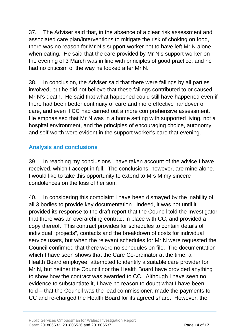37. The Adviser said that, in the absence of a clear risk assessment and associated care plan/interventions to mitigate the risk of choking on food, there was no reason for Mr N's support worker not to have left Mr N alone when eating. He said that the care provided by Mr N's support worker on the evening of 3 March was in line with principles of good practice, and he had no criticism of the way he looked after Mr N.

38. In conclusion, the Adviser said that there were failings by all parties involved, but he did not believe that these failings contributed to or caused Mr N's death. He said that what happened could still have happened even if there had been better continuity of care and more effective handover of care, and even if CC had carried out a more comprehensive assessment. He emphasised that Mr N was in a home setting with supported living, not a hospital environment, and the principles of encouraging choice, autonomy and self-worth were evident in the support worker's care that evening.

## **Analysis and conclusions**

39. In reaching my conclusions I have taken account of the advice I have received, which I accept in full. The conclusions, however, are mine alone. I would like to take this opportunity to extend to Mrs M my sincere condolences on the loss of her son.

40. In considering this complaint I have been dismayed by the inability of all 3 bodies to provide key documentation. Indeed, it was not until it provided its response to the draft report that the Council told the Investigator that there was an overarching contract in place with CC, and provided a copy thereof. This contract provides for schedules to contain details of individual "projects", contacts and the breakdown of costs for individual service users, but when the relevant schedules for Mr N were requested the Council confirmed that there were no schedules on file. The documentation which I have seen shows that the Care Co-ordinator at the time, a Health Board employee, attempted to identify a suitable care provider for Mr N, but neither the Council nor the Health Board have provided anything to show how the contract was awarded to CC. Although I have seen no evidence to substantiate it, I have no reason to doubt what I have been told – that the Council was the lead commissioner, made the payments to CC and re-charged the Health Board for its agreed share. However, the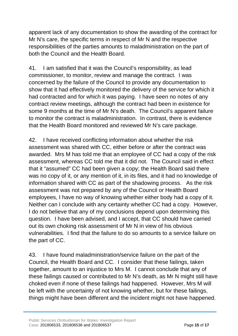apparent lack of any documentation to show the awarding of the contract for Mr N's care, the specific terms in respect of Mr N and the respective responsibilities of the parties amounts to maladministration on the part of both the Council and the Health Board.

41. I am satisfied that it was the Council's responsibility, as lead commissioner, to monitor, review and manage the contract. I was concerned by the failure of the Council to provide any documentation to show that it had effectively monitored the delivery of the service for which it had contracted and for which it was paying. I have seen no notes of any contract review meetings, although the contract had been in existence for some 9 months at the time of Mr N's death. The Council's apparent failure to monitor the contract is maladministration. In contrast, there is evidence that the Health Board monitored and reviewed Mr N's care package.

42. I have received conflicting information about whether the risk assessment was shared with CC, either before or after the contract was awarded. Mrs M has told me that an employee of CC had a copy of the risk assessment, whereas CC told me that it did not. The Council said in effect that it "assumed" CC had been given a copy; the Health Board said there was no copy of it, or any mention of it, in its files, and it had no knowledge of information shared with CC as part of the shadowing process. As the risk assessment was not prepared by any of the Council or Health Board employees, I have no way of knowing whether either body had a copy of it. Neither can I conclude with any certainty whether CC had a copy. However, I do not believe that any of my conclusions depend upon determining this question. I have been advised, and I accept, that CC should have carried out its own choking risk assessment of Mr N in view of his obvious vulnerabilities. I find that the failure to do so amounts to a service failure on the part of CC.

43. I have found maladministration/service failure on the part of the Council, the Health Board and CC. I consider that these failings, taken together, amount to an injustice to Mrs M. I cannot conclude that any of these failings caused or contributed to Mr N's death, as Mr N might still have choked even if none of these failings had happened. However, Mrs M will be left with the uncertainty of not knowing whether, but for these failings, things might have been different and the incident might not have happened.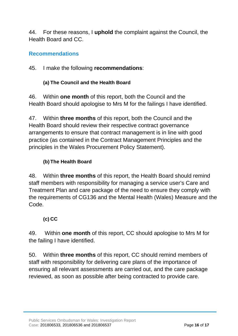44. For these reasons, I **uphold** the complaint against the Council, the Health Board and CC.

## **Recommendations**

45. I make the following **recommendations**:

#### **(a) The Council and the Health Board**

46. Within **one month** of this report, both the Council and the Health Board should apologise to Mrs M for the failings I have identified.

47. Within **three months** of this report, both the Council and the Health Board should review their respective contract governance arrangements to ensure that contract management is in line with good practice (as contained in the Contract Management Principles and the principles in the Wales Procurement Policy Statement).

#### **(b) The Health Board**

48. Within **three months** of this report, the Health Board should remind staff members with responsibility for managing a service user's Care and Treatment Plan and care package of the need to ensure they comply with the requirements of CG136 and the Mental Health (Wales) Measure and the Code.

## **(c) CC**

49. Within **one month** of this report, CC should apologise to Mrs M for the failing I have identified.

50. Within **three months** of this report, CC should remind members of staff with responsibility for delivering care plans of the importance of ensuring all relevant assessments are carried out, and the care package reviewed, as soon as possible after being contracted to provide care.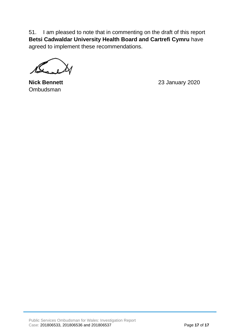51. I am pleased to note that in commenting on the draft of this report **Betsi Cadwaldar University Health Board and Cartrefi Cymru** have agreed to implement these recommendations.

Ombudsman

**Nick Bennett** 23 January 2020